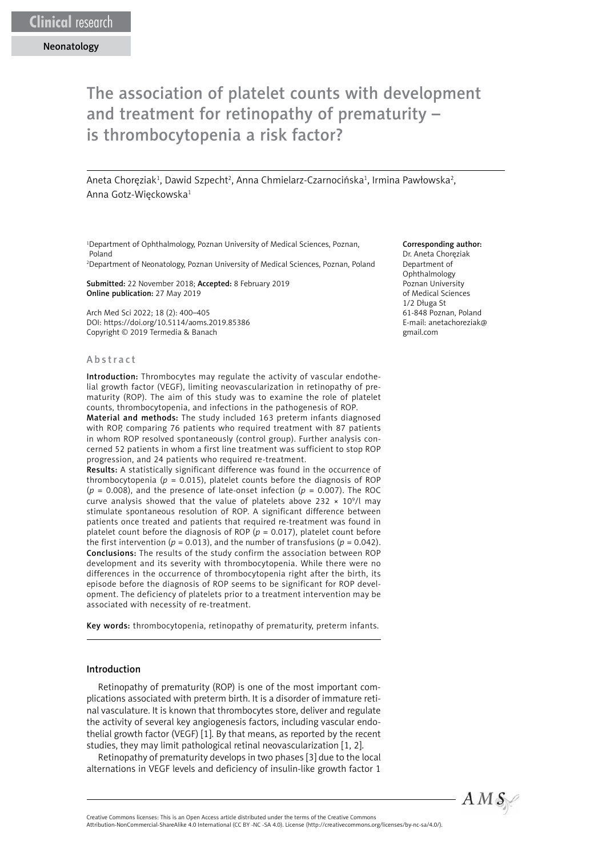# The association of platelet counts with development and treatment for retinopathy of prematurity – is thrombocytopenia a risk factor?

Aneta Choręziak<sup>1</sup>, Dawid Szpecht<sup>2</sup>, Anna Chmielarz-Czarnocińska<sup>1</sup>, Irmina Pawłowska<sup>2</sup>, Anna Gotz-Więckowska1

1 Department of Ophthalmology, Poznan University of Medical Sciences, Poznan, Poland

2 Department of Neonatology, Poznan University of Medical Sciences, Poznan, Poland

Submitted: 22 November 2018; Accepted: 8 February 2019 Online publication: 27 May 2019

Arch Med Sci 2022; 18 (2): 400–405 DOI: https://doi.org/10.5114/aoms.2019.85386 Copyright © 2019 Termedia & Banach

#### **Abstract**

Introduction: Thrombocytes may regulate the activity of vascular endothelial growth factor (VEGF), limiting neovascularization in retinopathy of prematurity (ROP). The aim of this study was to examine the role of platelet counts, thrombocytopenia, and infections in the pathogenesis of ROP.

Material and methods: The study included 163 preterm infants diagnosed with ROP, comparing 76 patients who required treatment with 87 patients in whom ROP resolved spontaneously (control group). Further analysis concerned 52 patients in whom a first line treatment was sufficient to stop ROP progression, and 24 patients who required re-treatment.

Results: A statistically significant difference was found in the occurrence of thrombocytopenia ( $p = 0.015$ ), platelet counts before the diagnosis of ROP  $(p = 0.008)$ , and the presence of late-onset infection  $(p = 0.007)$ . The ROC curve analysis showed that the value of platelets above 232  $\times$  10<sup>9</sup>/l may stimulate spontaneous resolution of ROP. A significant difference between patients once treated and patients that required re-treatment was found in platelet count before the diagnosis of ROP  $(p = 0.017)$ , platelet count before the first intervention ( $p = 0.013$ ), and the number of transfusions ( $p = 0.042$ ). Conclusions: The results of the study confirm the association between ROP development and its severity with thrombocytopenia. While there were no differences in the occurrence of thrombocytopenia right after the birth, its episode before the diagnosis of ROP seems to be significant for ROP development. The deficiency of platelets prior to a treatment intervention may be associated with necessity of re-treatment.

Key words: thrombocytopenia, retinopathy of prematurity, preterm infants.

## Introduction

Retinopathy of prematurity (ROP) is one of the most important complications associated with preterm birth. It is a disorder of immature retinal vasculature. It is known that thrombocytes store, deliver and regulate the activity of several key angiogenesis factors, including vascular endothelial growth factor (VEGF) [1]. By that means, as reported by the recent studies, they may limit pathological retinal neovascularization [1, 2].

Retinopathy of prematurity develops in two phases [3] due to the local alternations in VEGF levels and deficiency of insulin-like growth factor 1

#### Corresponding author:

Dr. Aneta Choręziak Department of Ophthalmology Poznan University of Medical Sciences 1/2 Długa St 61-848 Poznan, Poland E-mail: [anetachoreziak@](mailto:anetachoreziak@gmail.com) [gmail.com](mailto:anetachoreziak@gmail.com)



Attribution-NonCommercial-ShareAlike 4.0 International (CC BY -NC -SA 4.0). License (http://creativecommons.org/licenses/by-nc-sa/4.0/).

Creative Commons licenses: This is an Open Access article distributed under the terms of the Creative Commons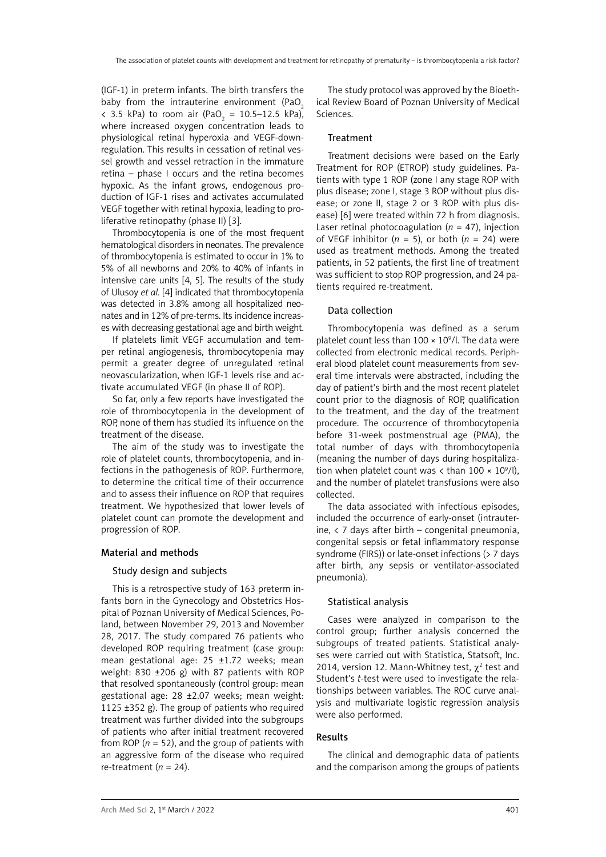(IGF-1) in preterm infants. The birth transfers the baby from the intrauterine environment (PaO<sub>2</sub>)  $\langle$  3.5 kPa) to room air (PaO<sub>2</sub> = 10.5–12.5 kPa), where increased oxygen concentration leads to physiological retinal hyperoxia and VEGF-downregulation. This results in cessation of retinal vessel growth and vessel retraction in the immature retina – phase I occurs and the retina becomes hypoxic. As the infant grows, endogenous production of IGF-1 rises and activates accumulated VEGF together with retinal hypoxia, leading to proliferative retinopathy (phase II) [3].

Thrombocytopenia is one of the most frequent hematological disorders in neonates. The prevalence of thrombocytopenia is estimated to occur in 1% to 5% of all newborns and 20% to 40% of infants in intensive care units [4, 5]. The results of the study of Ulusoy *et al*. [4] indicated that thrombocytopenia was detected in 3.8% among all hospitalized neonates and in 12% of pre-terms. Its incidence increases with decreasing gestational age and birth weight.

If platelets limit VEGF accumulation and temper retinal angiogenesis, thrombocytopenia may permit a greater degree of unregulated retinal neovascularization, when IGF-1 levels rise and activate accumulated VEGF (in phase II of ROP).

So far, only a few reports have investigated the role of thrombocytopenia in the development of ROP, none of them has studied its influence on the treatment of the disease.

The aim of the study was to investigate the role of platelet counts, thrombocytopenia, and infections in the pathogenesis of ROP. Furthermore, to determine the critical time of their occurrence and to assess their influence on ROP that requires treatment. We hypothesized that lower levels of platelet count can promote the development and progression of ROP.

#### Material and methods

#### Study design and subjects

This is a retrospective study of 163 preterm infants born in the Gynecology and Obstetrics Hospital of Poznan University of Medical Sciences, Poland, between November 29, 2013 and November 28, 2017. The study compared 76 patients who developed ROP requiring treatment (case group: mean gestational age: 25 ±1.72 weeks; mean weight: 830 ±206 g) with 87 patients with ROP that resolved spontaneously (control group: mean gestational age: 28 ±2.07 weeks; mean weight: 1125 ±352 g). The group of patients who required treatment was further divided into the subgroups of patients who after initial treatment recovered from ROP ( $n = 52$ ), and the group of patients with an aggressive form of the disease who required re-treatment  $(n = 24)$ .

The study protocol was approved by the Bioethical Review Board of Poznan University of Medical Sciences.

## Treatment

Treatment decisions were based on the Early Treatment for ROP (ETROP) study guidelines. Patients with type 1 ROP (zone I any stage ROP with plus disease; zone I, stage 3 ROP without plus disease; or zone II, stage 2 or 3 ROP with plus disease) [6] were treated within 72 h from diagnosis. Laser retinal photocoagulation  $(n = 47)$ , injection of VEGF inhibitor ( $n = 5$ ), or both ( $n = 24$ ) were used as treatment methods. Among the treated patients, in 52 patients, the first line of treatment was sufficient to stop ROP progression, and 24 patients required re-treatment.

## Data collection

Thrombocytopenia was defined as a serum platelet count less than  $100 \times 10^9$ /l. The data were collected from electronic medical records. Peripheral blood platelet count measurements from several time intervals were abstracted, including the day of patient's birth and the most recent platelet count prior to the diagnosis of ROP, qualification to the treatment, and the day of the treatment procedure. The occurrence of thrombocytopenia before 31-week postmenstrual age (PMA), the total number of days with thrombocytopenia (meaning the number of days during hospitalization when platelet count was  $\langle$  than 100  $\times$  10<sup>9</sup>/l), and the number of platelet transfusions were also collected.

The data associated with infectious episodes, included the occurrence of early-onset (intrauterine,  $\langle$  7 days after birth – congenital pneumonia, congenital sepsis or fetal inflammatory response syndrome (FIRS)) or late-onset infections ( $> 7$  days after birth, any sepsis or ventilator-associated pneumonia).

#### Statistical analysis

Cases were analyzed in comparison to the control group; further analysis concerned the subgroups of treated patients. Statistical analyses were carried out with Statistica, Statsoft, Inc. 2014, version 12. Mann-Whitney test,  $\chi^2$  test and Student's *t*-test were used to investigate the relationships between variables. The ROC curve analysis and multivariate logistic regression analysis were also performed.

# Results

The clinical and demographic data of patients and the comparison among the groups of patients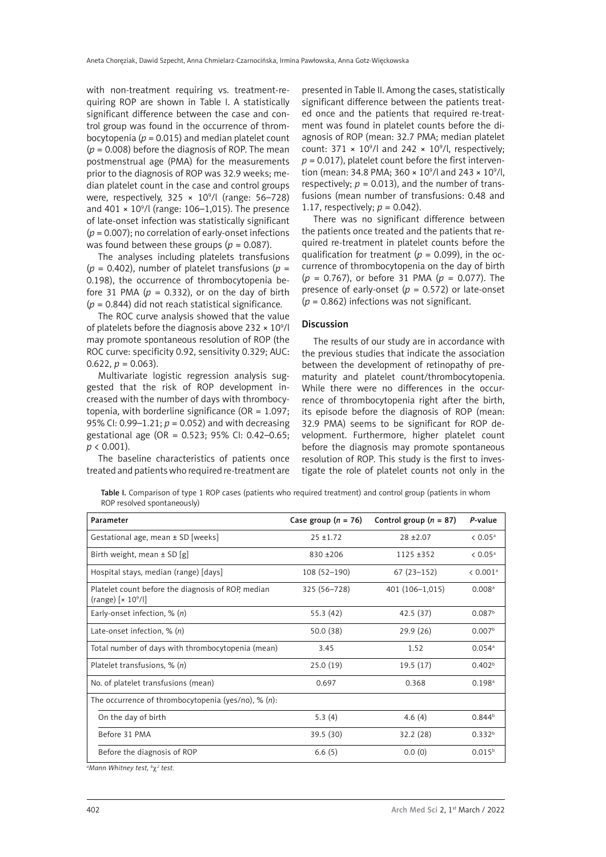with non-treatment requiring vs. treatment-requiring ROP are shown in Table I. A statistically significant difference between the case and control group was found in the occurrence of thrombocytopenia ( $p = 0.015$ ) and median platelet count (*p* = 0.008) before the diagnosis of ROP. The mean postmenstrual age (PMA) for the measurements prior to the diagnosis of ROP was 32.9 weeks; median platelet count in the case and control groups were, respectively,  $325 \times 10^9$ /l (range: 56–728) and  $401 \times 10^9$ /l (range: 106–1,015). The presence of late-onset infection was statistically significant (*p* = 0.007); no correlation of early-onset infections was found between these groups ( $p = 0.087$ ).

The analyses including platelets transfusions ( $p = 0.402$ ), number of platelet transfusions ( $p =$ 0.198), the occurrence of thrombocytopenia before 31 PMA ( $p = 0.332$ ), or on the day of birth (*p* = 0.844) did not reach statistical significance*.* 

The ROC curve analysis showed that the value of platelets before the diagnosis above  $232 \times 10^9$ /l may promote spontaneous resolution of ROP (the ROC curve: specificity 0.92, sensitivity 0.329; AUC: 0.622,  $p = 0.063$ ).

Multivariate logistic regression analysis suggested that the risk of ROP development increased with the number of days with thrombocytopenia, with borderline significance (OR =  $1.097$ ; 95% CI:  $0.99 - 1.21$ ;  $p = 0.052$ ) and with decreasing gestational age (OR = 0.523; 95% CI: 0.42–0.65; *p* < 0.001).

The baseline characteristics of patients once treated and patients who required re-treatment are

presented in Table II. Among the cases, statistically significant difference between the patients treated once and the patients that required re-treatment was found in platelet counts before the diagnosis of ROP (mean: 32.7 PMA; median platelet count: 371  $\times$  10<sup>9</sup>/l and 242  $\times$  10<sup>9</sup>/l, respectively;  $p = 0.017$ ), platelet count before the first intervention (mean: 34.8 PMA; 360  $\times$  10<sup>9</sup>/l and 243  $\times$  10<sup>9</sup>/l, respectively;  $p = 0.013$ ), and the number of transfusions (mean number of transfusions: 0.48 and 1.17, respectively;  $p = 0.042$ ).

There was no significant difference between the patients once treated and the patients that required re-treatment in platelet counts before the qualification for treatment ( $p = 0.099$ ), in the occurrence of thrombocytopenia on the day of birth (*p* = 0.767), or before 31 PMA (*p* = 0.077). The presence of early-onset ( $p = 0.572$ ) or late-onset (*p* = 0.862) infections was not significant.

## Discussion

The results of our study are in accordance with the previous studies that indicate the association between the development of retinopathy of prematurity and platelet count/thrombocytopenia. While there were no differences in the occurrence of thrombocytopenia right after the birth, its episode before the diagnosis of ROP (mean: 32.9 PMA) seems to be significant for ROP development. Furthermore, higher platelet count before the diagnosis may promote spontaneous resolution of ROP. This study is the first to investigate the role of platelet counts not only in the

Table I. Comparison of type 1 ROP cases (patients who required treatment) and control group (patients in whom ROP resolved spontaneously)

| Parameter                                                                                    | Case group $(n = 76)$ | Control group $(n = 87)$ | P-value              |
|----------------------------------------------------------------------------------------------|-----------------------|--------------------------|----------------------|
| Gestational age, mean ± SD [weeks]                                                           | $25 + 1.72$           | $28 + 2.07$              | $< 0.05^{\text{a}}$  |
| Birth weight, mean $\pm$ SD [g]                                                              | $830 + 206$           | $1125 + 352$             | $& 0.05^{\circ}$     |
| Hospital stays, median (range) [days]                                                        | $108(52-190)$         | $67(23-152)$             | < 0.001 <sup>a</sup> |
| Platelet count before the diagnosis of ROP, median<br>(range) [ $\times$ 10 <sup>9</sup> /l] | 325 (56-728)          | 401 (106-1,015)          | 0.008a               |
| Early-onset infection, $\%$ (n)                                                              | 55.3(42)              | 42.5(37)                 | 0.087 <sup>b</sup>   |
| Late-onset infection, $\%$ (n)                                                               | 50.0 (38)             | 29.9 (26)                | 0.007 <sup>b</sup>   |
| Total number of days with thrombocytopenia (mean)                                            | 3.45                  | 1.52                     | 0.054a               |
| Platelet transfusions, $\%$ (n)                                                              | 25.0(19)              | 19.5(17)                 | 0.402 <sup>b</sup>   |
| No. of platelet transfusions (mean)                                                          | 0.697                 | 0.368                    | $0.198$ <sup>a</sup> |
| The occurrence of thrombocytopenia (yes/no), % $(n)$ :                                       |                       |                          |                      |
| On the day of birth                                                                          | 5.3(4)                | 4.6 $(4)$                | 0.844 <sup>b</sup>   |
| Before 31 PMA                                                                                | 39.5 (30)             | 32.2 (28)                | 0.332 <sup>b</sup>   |
| Before the diagnosis of ROP                                                                  | 6.6(5)                | 0.0(0)                   | $0.015^{b}$          |

<sup>a</sup>Mann Whitney test, <sup>b</sup>χ<sup>2</sup> test.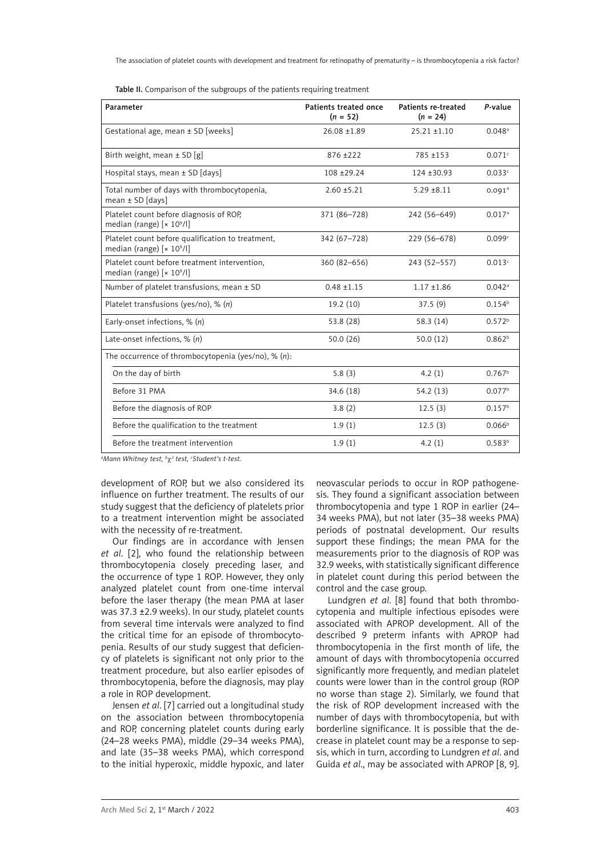Table II. Comparison of the subgroups of the patients requiring treatment

| Parameter                                                                              | Patients treated once<br>$(n = 52)$ | Patients re-treated<br>$(n = 24)$ | P-value            |
|----------------------------------------------------------------------------------------|-------------------------------------|-----------------------------------|--------------------|
| Gestational age, mean ± SD [weeks]                                                     | $26.08 \pm 1.89$                    | $25.21 \pm 1.10$                  | 0.048a             |
| Birth weight, mean $\pm$ SD [g]                                                        | $876 + 222$                         | 785 ±153                          | 0.071c             |
| Hospital stays, mean ± SD [days]                                                       | 108 ± 29.24                         | $124 + 30.93$                     | 0.033c             |
| Total number of days with thrombocytopenia,<br>mean $\pm$ SD [days]                    | $2.60 \pm 5.21$                     | $5.29 \pm 8.11$                   | 0.091 <sup>a</sup> |
| Platelet count before diagnosis of ROP,<br>median (range) [× 10 <sup>9</sup> /l]       | 371 (86-728)                        | 242 (56-649)                      | 0.017a             |
| Platelet count before qualification to treatment,<br>median (range) $[x 10^9/l]$       | 342 (67-728)                        | 229 (56-678)                      | 0.099c             |
| Platelet count before treatment intervention,<br>median (range) [× 10 <sup>9</sup> /l] | 360 (82-656)                        | 243 (52-557)                      | 0.013c             |
| Number of platelet transfusions, mean ± SD                                             | $0.48 + 1.15$                       | $1.17 \pm 1.86$                   | 0.042a             |
| Platelet transfusions (yes/no), % (n)                                                  | 19.2(10)                            | 37.5(9)                           | 0.154 <sup>b</sup> |
| Early-onset infections, $\%$ (n)                                                       | 53.8 (28)                           | 58.3 (14)                         | 0.572 <sup>b</sup> |
| Late-onset infections, $\%$ (n)                                                        | 50.0(26)                            | 50.0(12)                          | 0.862 <sup>b</sup> |
| The occurrence of thrombocytopenia (yes/no), % $(n)$ :                                 |                                     |                                   |                    |
| On the day of birth                                                                    | 5.8(3)                              | 4.2 $(1)$                         | $0.767^{\rm b}$    |
| Before 31 PMA                                                                          | 34.6(18)                            | 54.2(13)                          | 0.077 <sup>b</sup> |
| Before the diagnosis of ROP                                                            | 3.8(2)                              | 12.5(3)                           | 0.157 <sup>b</sup> |
| Before the qualification to the treatment                                              | 1.9(1)                              | 12.5(3)                           | 0.066 <sup>b</sup> |
| Before the treatment intervention                                                      | 1.9(1)                              | 4.2(1)                            | 0.583 <sup>b</sup> |

<sup>a</sup>Mann Whitney test, <sup>b</sup>χ² test, 'Student's t-test.

development of ROP, but we also considered its influence on further treatment. The results of our study suggest that the deficiency of platelets prior to a treatment intervention might be associated with the necessity of re-treatment.

Our findings are in accordance with Jensen *et al*. [2], who found the relationship between thrombocytopenia closely preceding laser, and the occurrence of type 1 ROP. However, they only analyzed platelet count from one-time interval before the laser therapy (the mean PMA at laser was 37.3 ±2.9 weeks). In our study, platelet counts from several time intervals were analyzed to find the critical time for an episode of thrombocytopenia. Results of our study suggest that deficiency of platelets is significant not only prior to the treatment procedure, but also earlier episodes of thrombocytopenia, before the diagnosis, may play a role in ROP development.

Jensen *et al*. [7] carried out a longitudinal study on the association between thrombocytopenia and ROP, concerning platelet counts during early (24–28 weeks PMA), middle (29–34 weeks PMA), and late (35–38 weeks PMA), which correspond to the initial hyperoxic, middle hypoxic, and later

neovascular periods to occur in ROP pathogenesis. They found a significant association between thrombocytopenia and type 1 ROP in earlier (24– 34 weeks PMA), but not later (35–38 weeks PMA) periods of postnatal development. Our results support these findings; the mean PMA for the measurements prior to the diagnosis of ROP was 32.9 weeks, with statistically significant difference in platelet count during this period between the control and the case group.

Lundgren *et al*. [8] found that both thrombocytopenia and multiple infectious episodes were associated with APROP development. All of the described 9 preterm infants with APROP had thrombocytopenia in the first month of life, the amount of days with thrombocytopenia occurred significantly more frequently, and median platelet counts were lower than in the control group (ROP no worse than stage 2). Similarly, we found that the risk of ROP development increased with the number of days with thrombocytopenia, but with borderline significance. It is possible that the decrease in platelet count may be a response to sepsis, which in turn, according to Lundgren *et al*. and Guida *et al*., may be associated with APROP [8, 9].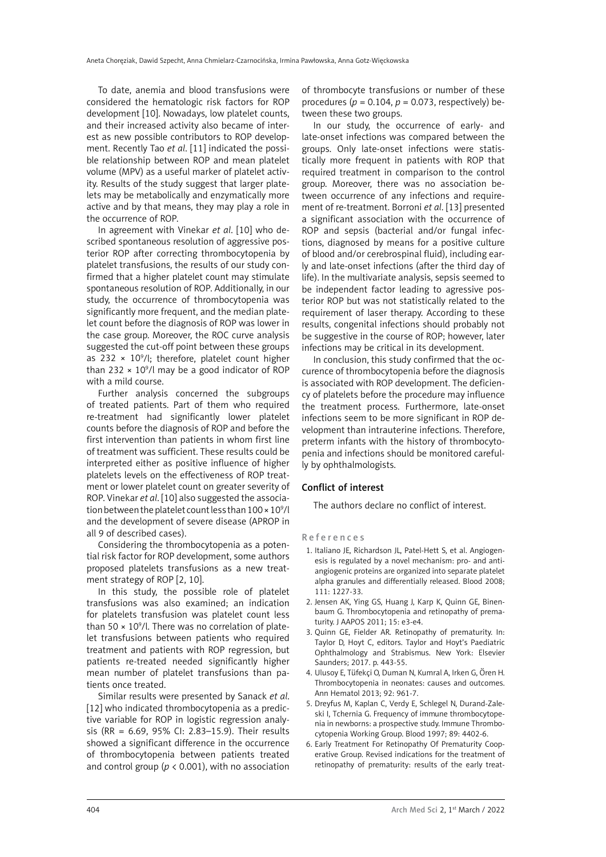To date, anemia and blood transfusions were considered the hematologic risk factors for ROP development [10]. Nowadays, low platelet counts, and their increased activity also became of interest as new possible contributors to ROP development. Recently Tao *et al*. [11] indicated the possible relationship between ROP and mean platelet volume (MPV) as a useful marker of platelet activity. Results of the study suggest that larger platelets may be metabolically and enzymatically more active and by that means, they may play a role in the occurrence of ROP.

In agreement with Vinekar *et al*. [10] who described spontaneous resolution of aggressive posterior ROP after correcting thrombocytopenia by platelet transfusions, the results of our study confirmed that a higher platelet count may stimulate spontaneous resolution of ROP. Additionally, in our study, the occurrence of thrombocytopenia was significantly more frequent, and the median platelet count before the diagnosis of ROP was lower in the case group. Moreover, the ROC curve analysis suggested the cut-off point between these groups as  $232 \times 10^9$ /l; therefore, platelet count higher than 232  $\times$  10<sup>9</sup>/l may be a good indicator of ROP with a mild course.

Further analysis concerned the subgroups of treated patients. Part of them who required re-treatment had significantly lower platelet counts before the diagnosis of ROP and before the first intervention than patients in whom first line of treatment was sufficient. These results could be interpreted either as positive influence of higher platelets levels on the effectiveness of ROP treatment or lower platelet count on greater severity of ROP. Vinekar *et al*. [10] also suggested the association between the platelet count less than 100 × 10<sup>9</sup>/l and the development of severe disease (APROP in all 9 of described cases).

Considering the thrombocytopenia as a potential risk factor for ROP development, some authors proposed platelets transfusions as a new treatment strategy of ROP [2, 10].

In this study, the possible role of platelet transfusions was also examined; an indication for platelets transfusion was platelet count less than 50  $\times$  10<sup>9</sup>/l. There was no correlation of platelet transfusions between patients who required treatment and patients with ROP regression, but patients re-treated needed significantly higher mean number of platelet transfusions than patients once treated.

Similar results were presented by Sanack *et al*. [12] who indicated thrombocytopenia as a predictive variable for ROP in logistic regression analysis (RR = 6.69, 95% CI: 2.83–15.9). Their results showed a significant difference in the occurrence of thrombocytopenia between patients treated and control group ( $p < 0.001$ ), with no association of thrombocyte transfusions or number of these procedures ( $p = 0.104$ ,  $p = 0.073$ , respectively) between these two groups.

In our study, the occurrence of early- and late-onset infections was compared between the groups. Only late-onset infections were statistically more frequent in patients with ROP that required treatment in comparison to the control group. Moreover, there was no association between occurrence of any infections and requirement of re-treatment. Borroni *et al*. [13] presented a significant association with the occurrence of ROP and sepsis (bacterial and/or fungal infections, diagnosed by means for a positive culture of blood and/or cerebrospinal fluid), including early and late-onset infections (after the third day of life). In the multivariate analysis, sepsis seemed to be independent factor leading to agressive posterior ROP but was not statistically related to the requirement of laser therapy. According to these results, congenital infections should probably not be suggestive in the course of ROP; however, later infections may be critical in its development.

In conclusion, this study confirmed that the occurence of thrombocytopenia before the diagnosis is associated with ROP development. The deficiency of platelets before the procedure may influence the treatment process. Furthermore, late-onset infections seem to be more significant in ROP development than intrauterine infections. Therefore, preterm infants with the history of thrombocytopenia and infections should be monitored carefully by ophthalmologists.

# Conflict of interest

The authors declare no conflict of interest.

#### References

- 1. Italiano JE, Richardson JL, Patel-Hett S, et al. Angiogenesis is regulated by a novel mechanism: pro- and antiangiogenic proteins are organized into separate platelet alpha granules and differentially released. Blood 2008; 111: 1227-33.
- 2. Jensen AK, Ying GS, Huang J, Karp K, Quinn GE, Binenbaum G. Thrombocytopenia and retinopathy of prematurity. J AAPOS 2011; 15: e3-e4.
- 3. Quinn GE, Fielder AR. Retinopathy of prematurity. In: Taylor D, Hoyt C, editors. Taylor and Hoyt's Paediatric Ophthalmology and Strabismus. New York: Elsevier Saunders; 2017. p. 443-55.
- 4. Ulusoy E, Tüfekçi O, Duman N, Kumral A, Irken G, Ören H. Thrombocytopenia in neonates: causes and outcomes. Ann Hematol 2013; 92: 961-7.
- 5. Dreyfus M, Kaplan C, Verdy E, Schlegel N, Durand-Zaleski I, Tchernia G. Frequency of immune thrombocytopenia in newborns: a prospective study. Immune Thrombocytopenia Working Group. Blood 1997; 89: 4402-6.
- 6. Early Treatment For Retinopathy Of Prematurity Cooperative Group. Revised indications for the treatment of retinopathy of prematurity: results of the early treat-